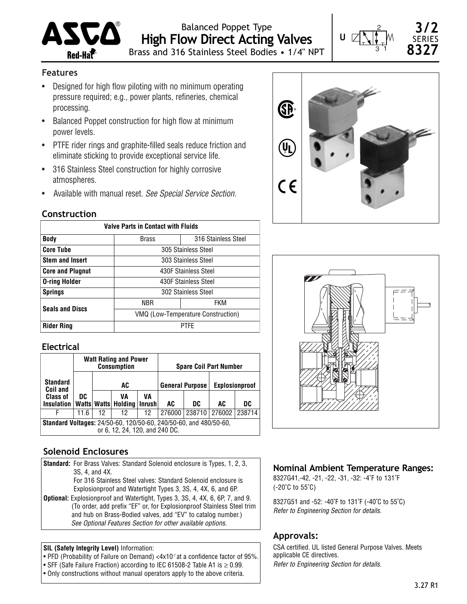

Balanced Poppet Type **High Flow Direct Acting Valves** Brass and 316 Stainless Steel Bodies • 1/4" NPT



**3/2** SERIES **8327**

## **Features**

- Designed for high flow piloting with no minimum operating pressure required; e.g., power plants, refineries, chemical processing.
- Balanced Poppet construction for high flow at minimum power levels.
- PTFE rider rings and graphite-filled seals reduce friction and eliminate sticking to provide exceptional service life.
- 316 Stainless Steel construction for highly corrosive atmospheres.
- Available with manual reset. *See Special Service Section.*

#### **Construction**

| <b>Valve Parts in Contact with Fluids</b> |                                    |                      |  |  |  |  |  |  |
|-------------------------------------------|------------------------------------|----------------------|--|--|--|--|--|--|
| <b>Body</b>                               | <b>Brass</b>                       | 316 Stainless Steel  |  |  |  |  |  |  |
| <b>Core Tube</b>                          |                                    | 305 Stainless Steel  |  |  |  |  |  |  |
| <b>Stem and Insert</b>                    |                                    | 303 Stainless Steel  |  |  |  |  |  |  |
| <b>Core and Plugnut</b>                   |                                    | 430F Stainless Steel |  |  |  |  |  |  |
| <b>O-ring Holder</b>                      |                                    | 430F Stainless Steel |  |  |  |  |  |  |
| <b>Springs</b>                            |                                    | 302 Stainless Steel  |  |  |  |  |  |  |
| <b>Seals and Discs</b>                    | <b>NBR</b>                         | FKM                  |  |  |  |  |  |  |
|                                           | VMQ (Low-Temperature Construction) |                      |  |  |  |  |  |  |
| <b>Rider Ring</b>                         | <b>PTFF</b>                        |                      |  |  |  |  |  |  |

## **Electrical**

|                                                                                                            |      |    | <b>Watt Rating and Power</b><br><b>Consumption</b> |    | <b>Spare Coil Part Number</b> |        |        |                       |  |  |
|------------------------------------------------------------------------------------------------------------|------|----|----------------------------------------------------|----|-------------------------------|--------|--------|-----------------------|--|--|
| <b>Standard</b><br><b>Coil and</b>                                                                         |      |    | AC                                                 |    | <b>General Purpose</b>        |        |        | <b>Explosionproof</b> |  |  |
| <b>Class of</b><br><b>Insulation</b>                                                                       | DC   |    | VA<br>Watts   Watts   Holding   Inrush             | VA | AC                            | DC     | AC     | DC                    |  |  |
| F                                                                                                          | 11.6 | 12 | 12                                                 | 12 | 276000                        | 238710 | 276002 | 238714                |  |  |
| <b>Standard Voltages: 24/50-60, 120/50-60, 240/50-60, and 480/50-60,</b><br>or 6, 12, 24, 120, and 240 DC. |      |    |                                                    |    |                               |        |        |                       |  |  |

## **Solenoid Enclosures**

**Standard:** For Brass Valves: Standard Solenoid enclosure is Types, 1, 2, 3, 3S, 4, and 4X. For 316 Stainless Steel valves: Standard Solenoid enclosure is Explosionproof and Watertight Types 3, 3S, 4, 4X, 6, and 6P. **Optional:** Explosionproof and Watertight, Types 3, 3S, 4, 4X, 6, 6P, 7, and 9. (To order, add prefix "EF" or, for Explosionproof Stainless Steel trim and hub on Brass-Bodied valves, add "EV" to catalog number.) *See Optional Features Section for other available options.*

#### **SIL (Safety Integrity Level)** Information:

- PFD (Probability of Failure on Demand) <4x10<sup>-7</sup> at a confidence factor of 95%.
- SFF (Safe Failure Fraction) according to IEC 61508-2 Table A1 is ≥ 0.99.
- Only constructions without manual operators apply to the above criteria.





## **Nominal Ambient Temperature Ranges:**

8327G41,-42, -21, -22, -31, -32: -4˚F to 131˚F (-20˚C to 55˚C)

8327G51 and -52: -40˚F to 131˚F (-40˚C to 55˚C) *Refer to Engineering Section for details.*

#### **Approvals:**

CSA certified. UL listed General Purpose Valves. Meets applicable CE directives.

*Refer to Engineering Section for details.*